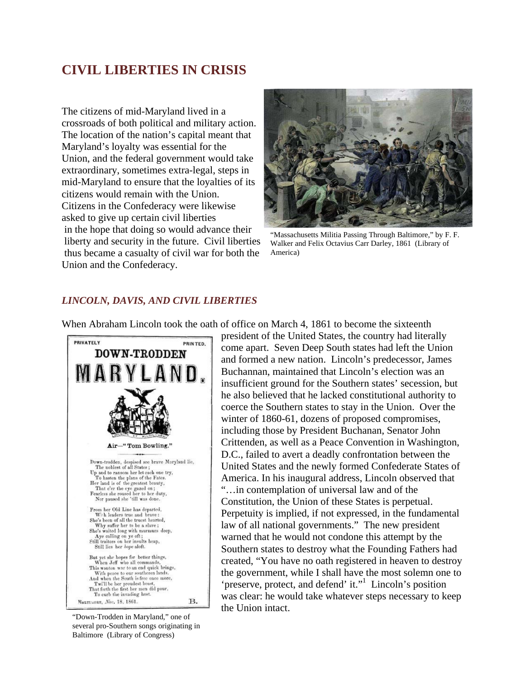# **CIVIL LIBERTIES IN CRISIS**

The citizens of mid-Maryland lived in a crossroads of both political and military action. The location of the nation's capital meant that Maryland's loyalty was essential for the Union, and the federal government would take extraordinary, sometimes extra-legal, steps in mid-Maryland to ensure that the loyalties of its citizens would remain with the Union. Citizens in the Confederacy were likewise asked to give up certain civil liberties in the hope that doing so would advance their liberty and security in the future. Civil liberties thus became a casualty of civil war for both the Union and the Confederacy.



"Massachusetts Militia Passing Through Baltimore," by F. F. Walker and Felix Octavius Carr Darley, 1861 (Library of America)

## *LINCOLN, DAVIS, AND CIVIL LIBERTIES*



When Abraham Lincoln took the oath of office on March 4, 1861 to become the sixteenth

come apart. Seven Deep South states had left the Union and formed a new nation. Lincoln's predecessor, James Buchannan, maintained that Lincoln's election was an insufficient ground for the Southern states' secession, but he also believed that he lacked constitutional authority to coerce the Southern states to stay in the Union. Over the winter of 1860-61, dozens of proposed compromises, including those by President Buchanan, Senator John Crittenden, as well as a Peace Convention in Washington, D.C., failed to avert a deadly confrontation between the United States and the newly formed Confederate States of America. In his inaugural address, Lincoln observed that "…in contemplation of universal law and of the Constitution, the Union of these States is perpetual. Perpetuity is implied, if not expressed, in the fundamental law of all national governments." The new president warned that he would not condone this attempt by the Southern states to destroy what the Founding Fathers had created, "You have no oath registered in heaven to destroy the government, while I shall have the most solemn one to 'preserve, protect, and defend' it."<sup>1</sup> Lincoln's position was clear: he would take whatever steps necessary to keep the Union intact.

president of the United States, the country had literally

"Down-Trodden in Maryland," one of several pro-Southern songs originating in Baltimore (Library of Congress)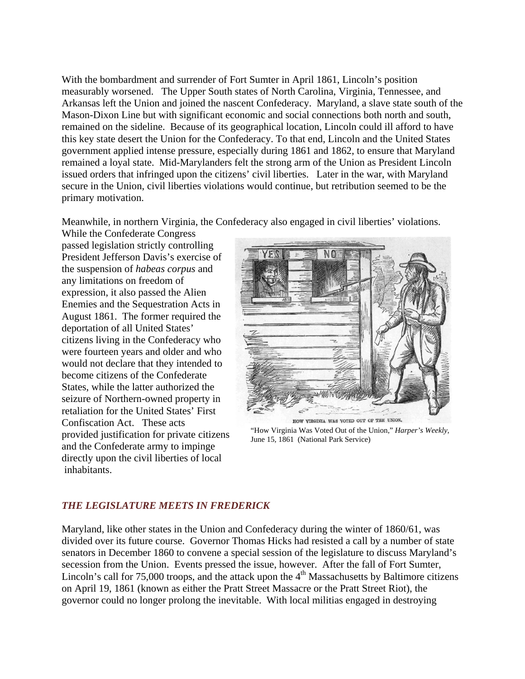With the bombardment and surrender of Fort Sumter in April 1861, Lincoln's position measurably worsened. The Upper South states of North Carolina, Virginia, Tennessee, and Arkansas left the Union and joined the nascent Confederacy. Maryland, a slave state south of the Mason-Dixon Line but with significant economic and social connections both north and south, remained on the sideline. Because of its geographical location, Lincoln could ill afford to have this key state desert the Union for the Confederacy. To that end, Lincoln and the United States government applied intense pressure, especially during 1861 and 1862, to ensure that Maryland remained a loyal state. Mid-Marylanders felt the strong arm of the Union as President Lincoln issued orders that infringed upon the citizens' civil liberties. Later in the war, with Maryland secure in the Union, civil liberties violations would continue, but retribution seemed to be the primary motivation.

Meanwhile, in northern Virginia, the Confederacy also engaged in civil liberties' violations.

While the Confederate Congress passed legislation strictly controlling President Jefferson Davis's exercise of the suspension of *habeas corpus* and any limitations on freedom of expression, it also passed the Alien Enemies and the Sequestration Acts in August 1861. The former required the deportation of all United States' citizens living in the Confederacy who were fourteen years and older and who would not declare that they intended to become citizens of the Confederate States, while the latter authorized the seizure of Northern-owned property in retaliation for the United States' First Confiscation Act. These acts provided justification for private citizens and the Confederate army to impinge directly upon the civil liberties of local inhabitants.



"How Virginia Was Voted Out of the Union," *Harper's Weekly*, June 15, 1861 (National Park Service)

### *THE LEGISLATURE MEETS IN FREDERICK*

Maryland, like other states in the Union and Confederacy during the winter of 1860/61, was divided over its future course. Governor Thomas Hicks had resisted a call by a number of state senators in December 1860 to convene a special session of the legislature to discuss Maryland's secession from the Union. Events pressed the issue, however. After the fall of Fort Sumter, Lincoln's call for 75,000 troops, and the attack upon the  $4<sup>th</sup>$  Massachusetts by Baltimore citizens on April 19, 1861 (known as either the Pratt Street Massacre or the Pratt Street Riot), the governor could no longer prolong the inevitable. With local militias engaged in destroying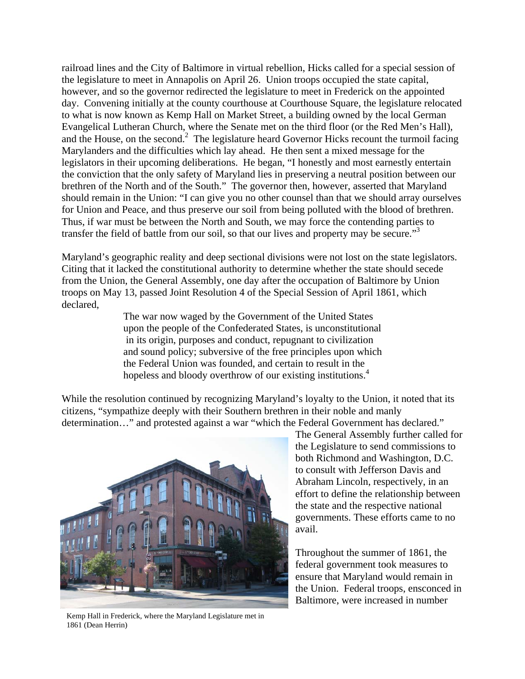railroad lines and the City of Baltimore in virtual rebellion, Hicks called for a special session of the legislature to meet in Annapolis on April 26. Union troops occupied the state capital, however, and so the governor redirected the legislature to meet in Frederick on the appointed day. Convening initially at the county courthouse at Courthouse Square, the legislature relocated to what is now known as Kemp Hall on Market Street, a building owned by the local German Evangelical Lutheran Church, where the Senate met on the third floor (or the Red Men's Hall), and the House, on the second. $2$  The legislature heard Governor Hicks recount the turmoil facing Marylanders and the difficulties which lay ahead. He then sent a mixed message for the legislators in their upcoming deliberations. He began, "I honestly and most earnestly entertain the conviction that the only safety of Maryland lies in preserving a neutral position between our brethren of the North and of the South." The governor then, however, asserted that Maryland should remain in the Union: "I can give you no other counsel than that we should array ourselves for Union and Peace, and thus preserve our soil from being polluted with the blood of brethren. Thus, if war must be between the North and South, we may force the contending parties to transfer the field of battle from our soil, so that our lives and property may be secure."<sup>3</sup>

Maryland's geographic reality and deep sectional divisions were not lost on the state legislators. Citing that it lacked the constitutional authority to determine whether the state should secede from the Union, the General Assembly, one day after the occupation of Baltimore by Union troops on May 13, passed Joint Resolution 4 of the Special Session of April 1861, which declared,

 The war now waged by the Government of the United States upon the people of the Confederated States, is unconstitutional in its origin, purposes and conduct, repugnant to civilization and sound policy; subversive of the free principles upon which the Federal Union was founded, and certain to result in the hopeless and bloody overthrow of our existing institutions.<sup>4</sup>

While the resolution continued by recognizing Maryland's loyalty to the Union, it noted that its citizens, "sympathize deeply with their Southern brethren in their noble and manly determination…" and protested against a war "which the Federal Government has declared."



Kemp Hall in Frederick, where the Maryland Legislature met in 1861 (Dean Herrin)

The General Assembly further called for the Legislature to send commissions to both Richmond and Washington, D.C. to consult with Jefferson Davis and Abraham Lincoln, respectively, in an effort to define the relationship between the state and the respective national governments. These efforts came to no avail.

Throughout the summer of 1861, the federal government took measures to ensure that Maryland would remain in the Union. Federal troops, ensconced in Baltimore, were increased in number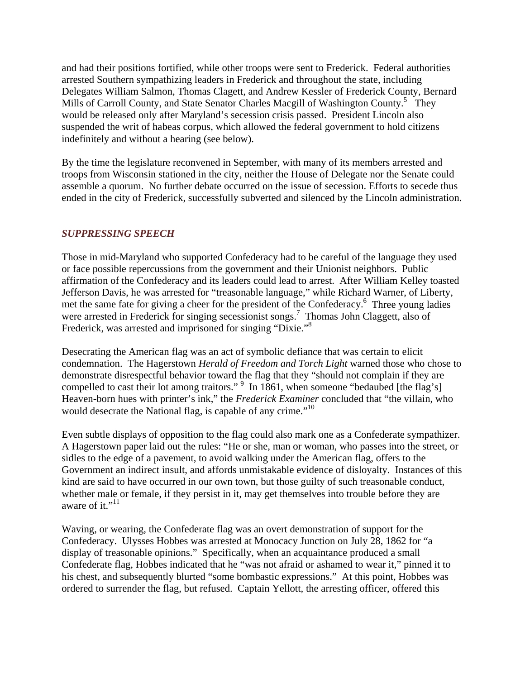and had their positions fortified, while other troops were sent to Frederick. Federal authorities arrested Southern sympathizing leaders in Frederick and throughout the state, including Delegates William Salmon, Thomas Clagett, and Andrew Kessler of Frederick County, Bernard Mills of Carroll County, and State Senator Charles Macgill of Washington County.<sup>5</sup> They would be released only after Maryland's secession crisis passed. President Lincoln also suspended the writ of habeas corpus, which allowed the federal government to hold citizens indefinitely and without a hearing (see below).

By the time the legislature reconvened in September, with many of its members arrested and troops from Wisconsin stationed in the city, neither the House of Delegate nor the Senate could assemble a quorum. No further debate occurred on the issue of secession. Efforts to secede thus ended in the city of Frederick, successfully subverted and silenced by the Lincoln administration.

### *SUPPRESSING SPEECH*

Those in mid-Maryland who supported Confederacy had to be careful of the language they used or face possible repercussions from the government and their Unionist neighbors. Public affirmation of the Confederacy and its leaders could lead to arrest. After William Kelley toasted Jefferson Davis, he was arrested for "treasonable language," while Richard Warner, of Liberty, met the same fate for giving a cheer for the president of the Confederacy.<sup>6</sup> Three young ladies were arrested in Frederick for singing secessionist songs.<sup>7</sup> Thomas John Claggett, also of Frederick, was arrested and imprisoned for singing "Dixie."<sup>8</sup>

Desecrating the American flag was an act of symbolic defiance that was certain to elicit condemnation. The Hagerstown *Herald of Freedom and Torch Light* warned those who chose to demonstrate disrespectful behavior toward the flag that they "should not complain if they are compelled to cast their lot among traitors."  $9\,$  In 1861, when someone "bedaubed [the flag's] Heaven-born hues with printer's ink," the *Frederick Examiner* concluded that "the villain, who would desecrate the National flag, is capable of any crime."<sup>10</sup>

Even subtle displays of opposition to the flag could also mark one as a Confederate sympathizer. A Hagerstown paper laid out the rules: "He or she, man or woman, who passes into the street, or sidles to the edge of a pavement, to avoid walking under the American flag, offers to the Government an indirect insult, and affords unmistakable evidence of disloyalty. Instances of this kind are said to have occurred in our own town, but those guilty of such treasonable conduct, whether male or female, if they persist in it, may get themselves into trouble before they are aware of it."<sup>11</sup>

Waving, or wearing, the Confederate flag was an overt demonstration of support for the Confederacy. Ulysses Hobbes was arrested at Monocacy Junction on July 28, 1862 for "a display of treasonable opinions." Specifically, when an acquaintance produced a small Confederate flag, Hobbes indicated that he "was not afraid or ashamed to wear it," pinned it to his chest, and subsequently blurted "some bombastic expressions." At this point, Hobbes was ordered to surrender the flag, but refused. Captain Yellott, the arresting officer, offered this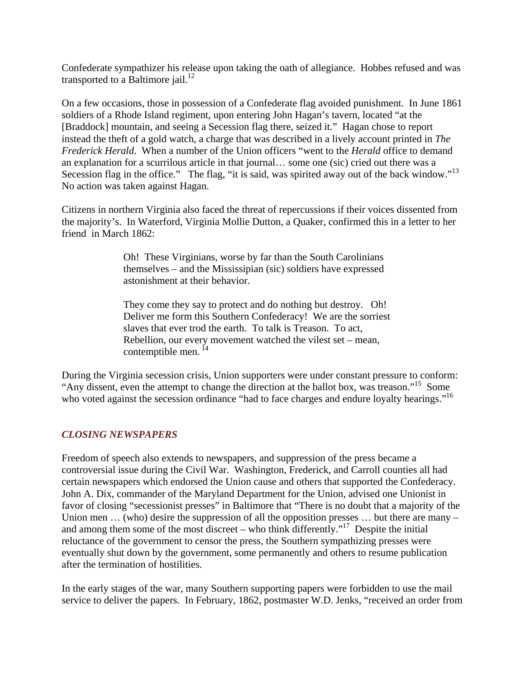Confederate sympathizer his release upon taking the oath of allegiance. Hobbes refused and was transported to a Baltimore jail.<sup>12</sup>

On a few occasions, those in possession of a Confederate flag avoided punishment. In June 1861 soldiers of a Rhode Island regiment, upon entering John Hagan's tavern, located "at the [Braddock] mountain, and seeing a Secession flag there, seized it." Hagan chose to report instead the theft of a gold watch, a charge that was described in a lively account printed in *The Frederick Herald*. When a number of the Union officers "went to the *Herald* office to demand an explanation for a scurrilous article in that journal… some one (sic) cried out there was a Secession flag in the office." The flag, "it is said, was spirited away out of the back window."<sup>13</sup> No action was taken against Hagan.

Citizens in northern Virginia also faced the threat of repercussions if their voices dissented from the majority's. In Waterford, Virginia Mollie Dutton, a Quaker, confirmed this in a letter to her friend in March 1862:

> Oh! These Virginians, worse by far than the South Carolinians themselves – and the Mississipian (sic) soldiers have expressed astonishment at their behavior.

 They come they say to protect and do nothing but destroy. Oh! Deliver me form this Southern Confederacy! We are the sorriest slaves that ever trod the earth. To talk is Treason. To act, Rebellion, our every movement watched the vilest set – mean, contemptible men.  $^{14}$ 

During the Virginia secession crisis, Union supporters were under constant pressure to conform: "Any dissent, even the attempt to change the direction at the ballot box, was treason."15 Some who voted against the secession ordinance "had to face charges and endure loyalty hearings."<sup>16</sup>

## *CLOSING NEWSPAPERS*

Freedom of speech also extends to newspapers, and suppression of the press became a controversial issue during the Civil War. Washington, Frederick, and Carroll counties all had certain newspapers which endorsed the Union cause and others that supported the Confederacy. John A. Dix, commander of the Maryland Department for the Union, advised one Unionist in favor of closing "secessionist presses" in Baltimore that "There is no doubt that a majority of the Union men ... (who) desire the suppression of all the opposition presses ... but there are many – and among them some of the most discreet – who think differently."<sup>17</sup> Despite the initial reluctance of the government to censor the press, the Southern sympathizing presses were eventually shut down by the government, some permanently and others to resume publication after the termination of hostilities.

In the early stages of the war, many Southern supporting papers were forbidden to use the mail service to deliver the papers. In February, 1862, postmaster W.D. Jenks, "received an order from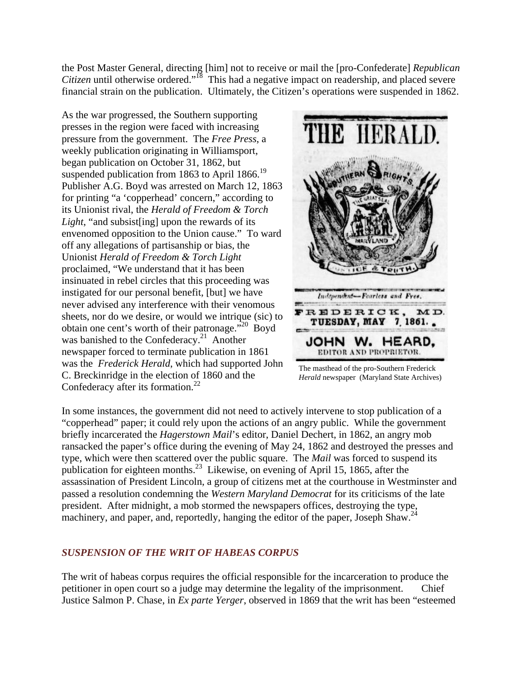the Post Master General, directing [him] not to receive or mail the [pro-Confederate] *Republican Citizen* until otherwise ordered."<sup>18</sup> This had a negative impact on readership, and placed severe financial strain on the publication. Ultimately, the Citizen's operations were suspended in 1862.

As the war progressed, the Southern supporting presses in the region were faced with increasing pressure from the government. The *Free Press*, a weekly publication originating in Williamsport, began publication on October 31, 1862, but suspended publication from 1863 to April 1866.<sup>19</sup> Publisher A.G. Boyd was arrested on March 12, 1863 for printing "a 'copperhead' concern," according to its Unionist rival, the *Herald of Freedom & Torch Light*, "and subsist[ing] upon the rewards of its envenomed opposition to the Union cause." To ward off any allegations of partisanship or bias, the Unionist *Herald of Freedom & Torch Light*  proclaimed, "We understand that it has been insinuated in rebel circles that this proceeding was instigated for our personal benefit, [but] we have never advised any interference with their venomous sheets, nor do we desire, or would we intrique (sic) to obtain one cent's worth of their patronage."<sup>20</sup> Boyd was banished to the Confederacy.<sup>21</sup> Another newspaper forced to terminate publication in 1861 was the *Frederick Herald*, which had supported John C. Breckinridge in the election of 1860 and the Confederacy after its formation. $^{22}$ 



The masthead of the pro-Southern Frederick *Herald* newspaper (Maryland State Archives)

In some instances, the government did not need to actively intervene to stop publication of a "copperhead" paper; it could rely upon the actions of an angry public. While the government briefly incarcerated the *Hagerstown Mail*'s editor, Daniel Dechert, in 1862, an angry mob ransacked the paper's office during the evening of May 24, 1862 and destroyed the presses and type, which were then scattered over the public square. The *Mail* was forced to suspend its publication for eighteen months.<sup>23</sup> Likewise, on evening of April 15, 1865, after the assassination of President Lincoln, a group of citizens met at the courthouse in Westminster and passed a resolution condemning the *Western Maryland Democrat* for its criticisms of the late president. After midnight, a mob stormed the newspapers offices, destroying the type, machinery, and paper, and, reportedly, hanging the editor of the paper, Joseph Shaw.<sup>24</sup>

### *SUSPENSION OF THE WRIT OF HABEAS CORPUS*

The writ of habeas corpus requires the official responsible for the incarceration to produce the petitioner in open court so a judge may determine the legality of the imprisonment. Chief Justice Salmon P. Chase, in *Ex parte Yerger*, observed in 1869 that the writ has been "esteemed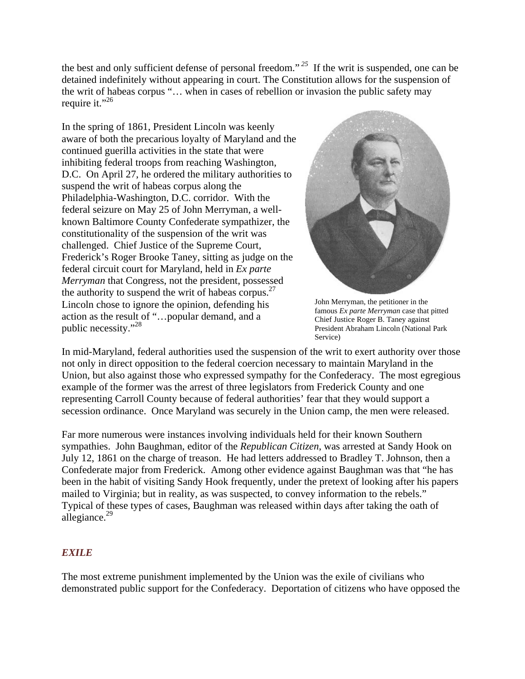the best and only sufficient defense of personal freedom."*<sup>25</sup>* If the writ is suspended, one can be detained indefinitely without appearing in court. The Constitution allows for the suspension of the writ of habeas corpus "… when in cases of rebellion or invasion the public safety may require it."<sup>26</sup>

In the spring of 1861, President Lincoln was keenly aware of both the precarious loyalty of Maryland and the continued guerilla activities in the state that were inhibiting federal troops from reaching Washington, D.C. On April 27, he ordered the military authorities to suspend the writ of habeas corpus along the Philadelphia-Washington, D.C. corridor. With the federal seizure on May 25 of John Merryman, a wellknown Baltimore County Confederate sympathizer, the constitutionality of the suspension of the writ was challenged. Chief Justice of the Supreme Court, Frederick's Roger Brooke Taney, sitting as judge on the federal circuit court for Maryland, held in *Ex parte Merryman* that Congress, not the president, possessed the authority to suspend the writ of habeas corpus.<sup>27</sup> Lincoln chose to ignore the opinion, defending his action as the result of "…popular demand, and a public necessity."28



John Merryman, the petitioner in the famous *Ex parte Merryman* case that pitted Chief Justice Roger B. Taney against President Abraham Lincoln (National Park Service)

In mid-Maryland, federal authorities used the suspension of the writ to exert authority over those not only in direct opposition to the federal coercion necessary to maintain Maryland in the Union, but also against those who expressed sympathy for the Confederacy. The most egregious example of the former was the arrest of three legislators from Frederick County and one representing Carroll County because of federal authorities' fear that they would support a secession ordinance. Once Maryland was securely in the Union camp, the men were released.

Far more numerous were instances involving individuals held for their known Southern sympathies. John Baughman, editor of the *Republican Citizen*, was arrested at Sandy Hook on July 12, 1861 on the charge of treason. He had letters addressed to Bradley T. Johnson, then a Confederate major from Frederick. Among other evidence against Baughman was that "he has been in the habit of visiting Sandy Hook frequently, under the pretext of looking after his papers mailed to Virginia; but in reality, as was suspected, to convey information to the rebels." Typical of these types of cases, Baughman was released within days after taking the oath of allegiance.<sup>29</sup>

## *EXILE*

The most extreme punishment implemented by the Union was the exile of civilians who demonstrated public support for the Confederacy. Deportation of citizens who have opposed the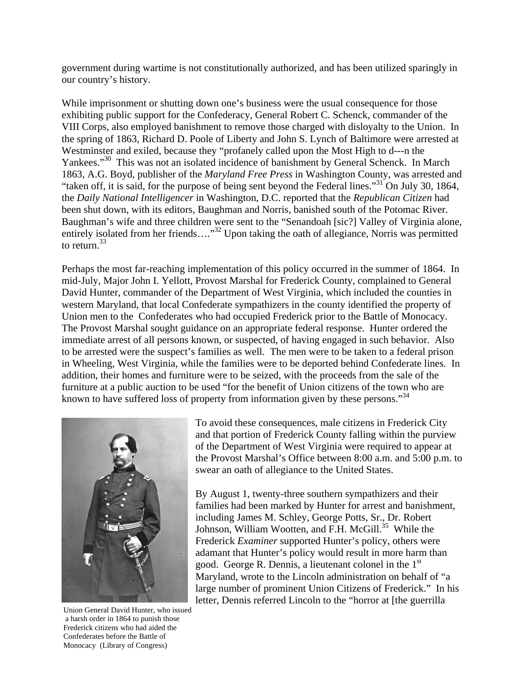government during wartime is not constitutionally authorized, and has been utilized sparingly in our country's history.

While imprisonment or shutting down one's business were the usual consequence for those exhibiting public support for the Confederacy, General Robert C. Schenck, commander of the VIII Corps, also employed banishment to remove those charged with disloyalty to the Union. In the spring of 1863, Richard D. Poole of Liberty and John S. Lynch of Baltimore were arrested at Westminster and exiled, because they "profanely called upon the Most High to d---n the Yankees."<sup>30</sup> This was not an isolated incidence of banishment by General Schenck. In March 1863, A.G. Boyd, publisher of the *Maryland Free Press* in Washington County, was arrested and "taken off, it is said, for the purpose of being sent beyond the Federal lines."31 On July 30, 1864, the *Daily National Intelligencer* in Washington, D.C. reported that the *Republican Citizen* had been shut down, with its editors, Baughman and Norris, banished south of the Potomac River. Baughman's wife and three children were sent to the "Senandoah [sic?] Valley of Virginia alone, entirely isolated from her friends…."<sup>32</sup> Upon taking the oath of allegiance, Norris was permitted to return.33

Perhaps the most far-reaching implementation of this policy occurred in the summer of 1864. In mid-July, Major John I. Yellott, Provost Marshal for Frederick County, complained to General David Hunter, commander of the Department of West Virginia, which included the counties in western Maryland, that local Confederate sympathizers in the county identified the property of Union men to the Confederates who had occupied Frederick prior to the Battle of Monocacy. The Provost Marshal sought guidance on an appropriate federal response. Hunter ordered the immediate arrest of all persons known, or suspected, of having engaged in such behavior. Also to be arrested were the suspect's families as well. The men were to be taken to a federal prison in Wheeling, West Virginia, while the families were to be deported behind Confederate lines. In addition, their homes and furniture were to be seized, with the proceeds from the sale of the furniture at a public auction to be used "for the benefit of Union citizens of the town who are known to have suffered loss of property from information given by these persons."<sup>34</sup>



Union General David Hunter, who issued a harsh order in 1864 to punish those Frederick citizens who had aided the Confederates before the Battle of Monocacy (Library of Congress)

To avoid these consequences, male citizens in Frederick City and that portion of Frederick County falling within the purview of the Department of West Virginia were required to appear at the Provost Marshal's Office between 8:00 a.m. and 5:00 p.m. to swear an oath of allegiance to the United States.

By August 1, twenty-three southern sympathizers and their families had been marked by Hunter for arrest and banishment, including James M. Schley, George Potts, Sr., Dr. Robert Johnson, William Wootten, and F.H. McGill.<sup>35</sup> While the Frederick *Examiner* supported Hunter's policy, others were adamant that Hunter's policy would result in more harm than good. George R. Dennis, a lieutenant colonel in the  $1<sup>st</sup>$ Maryland, wrote to the Lincoln administration on behalf of "a large number of prominent Union Citizens of Frederick." In his letter, Dennis referred Lincoln to the "horror at [the guerrilla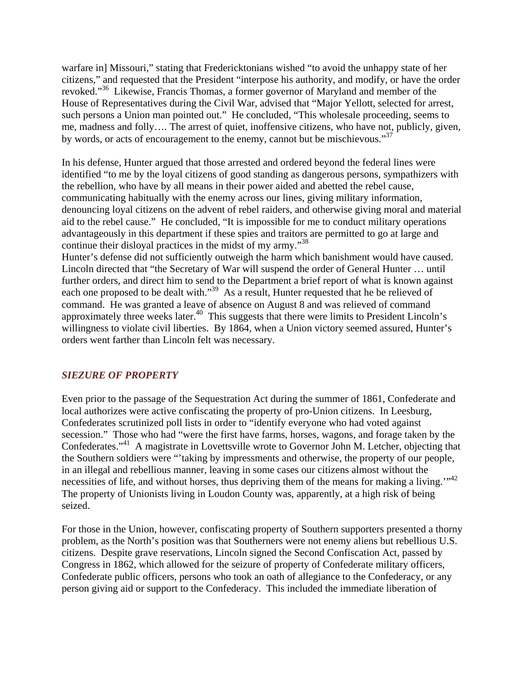warfare in] Missouri," stating that Fredericktonians wished "to avoid the unhappy state of her citizens," and requested that the President "interpose his authority, and modify, or have the order revoked."36 Likewise, Francis Thomas, a former governor of Maryland and member of the House of Representatives during the Civil War, advised that "Major Yellott, selected for arrest, such persons a Union man pointed out." He concluded, "This wholesale proceeding, seems to me, madness and folly…. The arrest of quiet, inoffensive citizens, who have not, publicly, given, by words, or acts of encouragement to the enemy, cannot but be mischievous."<sup>37</sup>

In his defense, Hunter argued that those arrested and ordered beyond the federal lines were identified "to me by the loyal citizens of good standing as dangerous persons, sympathizers with the rebellion, who have by all means in their power aided and abetted the rebel cause, communicating habitually with the enemy across our lines, giving military information, denouncing loyal citizens on the advent of rebel raiders, and otherwise giving moral and material aid to the rebel cause." He concluded, "It is impossible for me to conduct military operations advantageously in this department if these spies and traitors are permitted to go at large and continue their disloyal practices in the midst of my army."38

Hunter's defense did not sufficiently outweigh the harm which banishment would have caused. Lincoln directed that "the Secretary of War will suspend the order of General Hunter … until further orders, and direct him to send to the Department a brief report of what is known against each one proposed to be dealt with."<sup>39</sup> As a result, Hunter requested that he be relieved of command. He was granted a leave of absence on August 8 and was relieved of command approximately three weeks later.<sup>40</sup> This suggests that there were limits to President Lincoln's willingness to violate civil liberties. By 1864, when a Union victory seemed assured, Hunter's orders went farther than Lincoln felt was necessary.

### *SIEZURE OF PROPERTY*

Even prior to the passage of the Sequestration Act during the summer of 1861, Confederate and local authorizes were active confiscating the property of pro-Union citizens. In Leesburg, Confederates scrutinized poll lists in order to "identify everyone who had voted against secession." Those who had "were the first have farms, horses, wagons, and forage taken by the Confederates."41 A magistrate in Lovettsville wrote to Governor John M. Letcher, objecting that the Southern soldiers were "'taking by impressments and otherwise, the property of our people, in an illegal and rebellious manner, leaving in some cases our citizens almost without the necessities of life, and without horses, thus depriving them of the means for making a living."<sup>42</sup> The property of Unionists living in Loudon County was, apparently, at a high risk of being seized.

For those in the Union, however, confiscating property of Southern supporters presented a thorny problem, as the North's position was that Southerners were not enemy aliens but rebellious U.S. citizens. Despite grave reservations, Lincoln signed the Second Confiscation Act, passed by Congress in 1862, which allowed for the seizure of property of Confederate military officers, Confederate public officers, persons who took an oath of allegiance to the Confederacy, or any person giving aid or support to the Confederacy. This included the immediate liberation of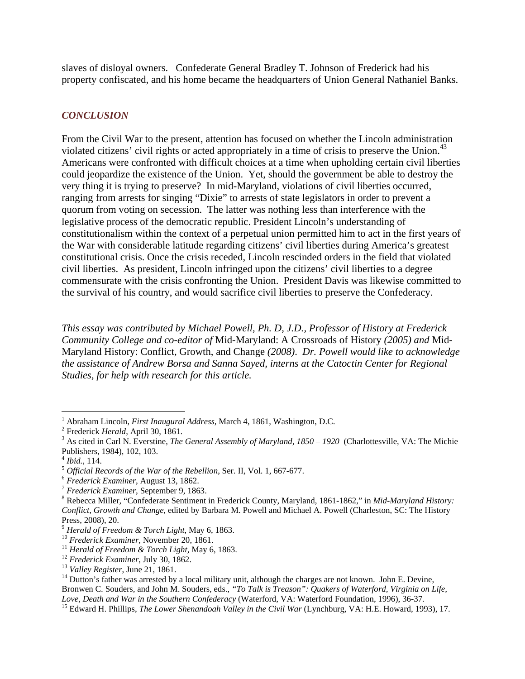slaves of disloyal owners. Confederate General Bradley T. Johnson of Frederick had his property confiscated, and his home became the headquarters of Union General Nathaniel Banks.

## *CONCLUSION*

From the Civil War to the present, attention has focused on whether the Lincoln administration violated citizens' civil rights or acted appropriately in a time of crisis to preserve the Union.<sup>43</sup> Americans were confronted with difficult choices at a time when upholding certain civil liberties could jeopardize the existence of the Union. Yet, should the government be able to destroy the very thing it is trying to preserve? In mid-Maryland, violations of civil liberties occurred, ranging from arrests for singing "Dixie" to arrests of state legislators in order to prevent a quorum from voting on secession. The latter was nothing less than interference with the legislative process of the democratic republic. President Lincoln's understanding of constitutionalism within the context of a perpetual union permitted him to act in the first years of the War with considerable latitude regarding citizens' civil liberties during America's greatest constitutional crisis. Once the crisis receded, Lincoln rescinded orders in the field that violated civil liberties. As president, Lincoln infringed upon the citizens' civil liberties to a degree commensurate with the crisis confronting the Union. President Davis was likewise committed to the survival of his country, and would sacrifice civil liberties to preserve the Confederacy.

*This essay was contributed by Michael Powell, Ph. D, J.D., Professor of History at Frederick Community College and co-editor of* Mid-Maryland: A Crossroads of History *(2005) and* Mid-Maryland History: Conflict, Growth, and Change *(2008)*. *Dr. Powell would like to acknowledge the assistance of Andrew Borsa and Sanna Sayed, interns at the Catoctin Center for Regional Studies, for help with research for this article.* 

<sup>&</sup>lt;sup>1</sup> Abraham Lincoln, *First Inaugural Address*, March 4, 1861, Washington, D.C.

<sup>&</sup>lt;sup>2</sup> Frederick *Herald*, April 30, 1861.

<sup>&</sup>lt;sup>3</sup> As cited in Carl N. Everstine, *The General Assembly of Maryland, 1850 – 1920* (Charlottesville, VA: The Michie Publishers, 1984), 102, 103.<br><sup>4</sup> *Ibid.*, 114.

<sup>&</sup>lt;sup>5</sup> *Official Records of the War of the Rebellion*, Ser. II, Vol. 1, 667-677.<br><sup>6</sup> *Frederick Examiner*, August 13, 1862. <sup>7</sup> *Frederick Examiner*, September 9, 1863.

Rebecca Miller, "Confederate Sentiment in Frederick County, Maryland, 1861-1862," in *Mid-Maryland History: Conflict, Growth and Change*, edited by Barbara M. Powell and Michael A. Powell (Charleston, SC: The History Press, 2008), 20.<br><sup>9</sup> Herald of Freedom & Torch Light, May 6, 1863.

<sup>&</sup>lt;sup>10</sup> Frederick Examiner, November 20, 1861.<br><sup>11</sup> Herald of Freedom & Torch Light, May 6, 1863.<br><sup>12</sup> Frederick Examiner, July 30, 1862.<br><sup>13</sup> Valley Register, June 21, 1861.<br><sup>14</sup> Dutton's father was arrested by a local mili Bronwen C. Souders, and John M. Souders, eds., *"To Talk is Treason": Quakers of Waterford, Virginia on Life,* 

<sup>&</sup>lt;sup>15</sup> Edward H. Phillips, *The Lower Shenandoah Valley in the Civil War* (Lynchburg, VA: H.E. Howard, 1993), 17.